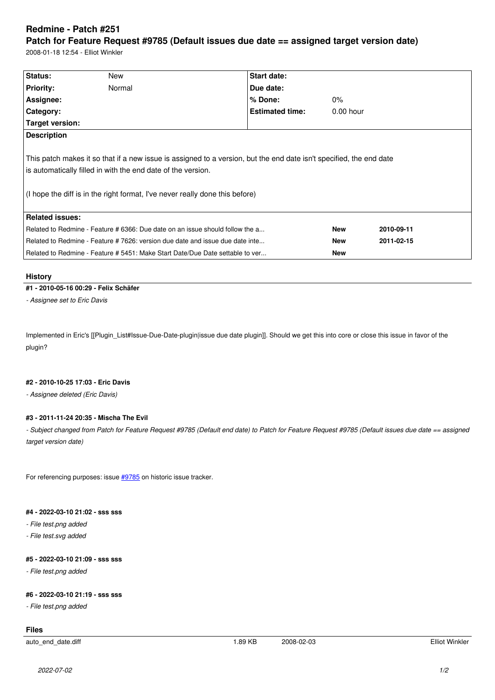#### **Patch for Feature Request #9785 (Default issues due date == assigned target version date)**

2008-01-18 12:54 - Elliot Winkler

| Status:                                                                       | New                                                                                                                                          | Start date:                                                                                                         |             |            |  |
|-------------------------------------------------------------------------------|----------------------------------------------------------------------------------------------------------------------------------------------|---------------------------------------------------------------------------------------------------------------------|-------------|------------|--|
| <b>Priority:</b>                                                              | Normal                                                                                                                                       | Due date:                                                                                                           |             |            |  |
| Assignee:                                                                     |                                                                                                                                              | % Done:                                                                                                             | $0\%$       |            |  |
| <b>Category:</b>                                                              |                                                                                                                                              | <b>Estimated time:</b>                                                                                              | $0.00$ hour |            |  |
| Target version:                                                               |                                                                                                                                              |                                                                                                                     |             |            |  |
| <b>Description</b>                                                            |                                                                                                                                              |                                                                                                                     |             |            |  |
|                                                                               | is automatically filled in with the end date of the version.<br>(I hope the diff is in the right format, I've never really done this before) | This patch makes it so that if a new issue is assigned to a version, but the end date isn't specified, the end date |             |            |  |
| Related issues:                                                               |                                                                                                                                              |                                                                                                                     |             |            |  |
|                                                                               | Related to Redmine - Feature # 6366: Due date on an issue should follow the a                                                                |                                                                                                                     |             | 2010-09-11 |  |
| Related to Redmine - Feature # 7626: version due date and issue due date inte |                                                                                                                                              |                                                                                                                     | <b>New</b>  | 2011-02-15 |  |
| Related to Redmine - Feature # 5451: Make Start Date/Due Date settable to ver |                                                                                                                                              |                                                                                                                     |             |            |  |

## **History**

## **#1 - 2010-05-16 00:29 - Felix Schäfer**

*- Assignee set to Eric Davis*

Implemented in Eric's [[Plugin\_List#Issue-Due-Date-plugin|issue due date plugin]]. Should we get this into core or close this issue in favor of the plugin?

# **#2 - 2010-10-25 17:03 - Eric Davis**

*- Assignee deleted (Eric Davis)*

# **#3 - 2011-11-24 20:35 - Mischa The Evil**

*- Subject changed from Patch for Feature Request #9785 (Default end date) to Patch for Feature Request #9785 (Default issues due date == assigned target version date)*

For referencing purposes: issue #9785 on historic issue tracker.

## **#4 - 2022-03-10 21:02 - sss ss[s](http://rubyforge.org/tracker/index.php?func=detail&aid=9785&group_id=1850&atid=7163)**

*- File test.png added*

*- File test.svg added*

## **#5 - 2022-03-10 21:09 - sss sss**

*- File test.png added*

## **#6 - 2022-03-10 21:19 - sss sss**

*- File test.png added*

## **Files**